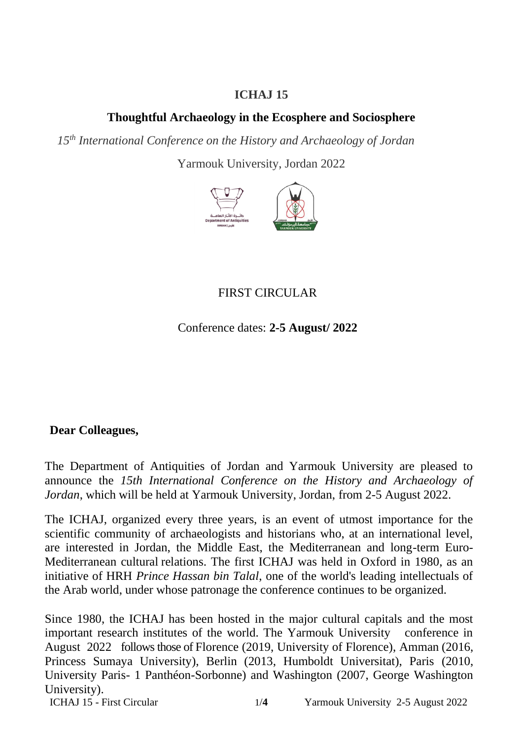#### **ICHAJ 15**

### **Thoughtful Archaeology in the Ecosphere and Sociosphere**

*15th International Conference on the History and Archaeology of Jordan*

Yarmouk University, Jordan 2022



# FIRST CIRCULAR

Conference dates: **2-5 August/ 2022**

#### **Dear Colleagues,**

The Department of Antiquities of Jordan and Yarmouk University are pleased to announce the *15th International Conference on the History and Archaeology of Jordan*, which will be held at Yarmouk University, Jordan, from 2-5 August 2022.

The ICHAJ, organized every three years, is an event of utmost importance for the scientific community of archaeologists and historians who, at an international level, are interested in Jordan, the Middle East, the Mediterranean and long-term Euro-Mediterranean cultural relations. The first ICHAJ was held in Oxford in 1980, as an initiative of HRH *Prince Hassan bin Talal*, one of the world's leading intellectuals of the Arab world, under whose patronage the conference continues to be organized.

Since 1980, the ICHAJ has been hosted in the major cultural capitals and the most important research institutes of the world. The Yarmouk University conference in August 2022 follows those of Florence (2019, University of Florence), Amman (2016, Princess Sumaya University), Berlin (2013, Humboldt Universitat), Paris (2010, University Paris- 1 Panthéon-Sorbonne) and Washington (2007, George Washington University).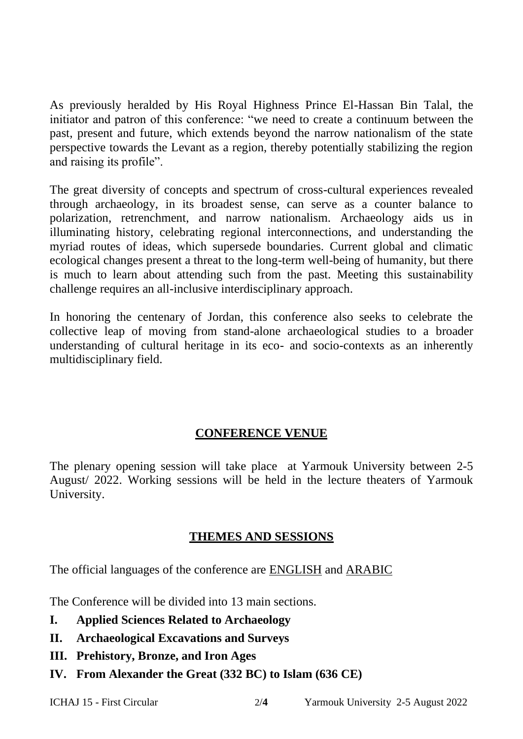As previously heralded by His Royal Highness Prince El-Hassan Bin Talal, the initiator and patron of this conference: "we need to create a continuum between the past, present and future, which extends beyond the narrow nationalism of the state perspective towards the Levant as a region, thereby potentially stabilizing the region and raising its profile".

The great diversity of concepts and spectrum of cross-cultural experiences revealed through archaeology, in its broadest sense, can serve as a counter balance to polarization, retrenchment, and narrow nationalism. Archaeology aids us in illuminating history, celebrating regional interconnections, and understanding the myriad routes of ideas, which supersede boundaries. Current global and climatic ecological changes present a threat to the long-term well-being of humanity, but there is much to learn about attending such from the past. Meeting this sustainability challenge requires an all-inclusive interdisciplinary approach.

In honoring the centenary of Jordan, this conference also seeks to celebrate the collective leap of moving from stand-alone archaeological studies to a broader understanding of cultural heritage in its eco- and socio-contexts as an inherently multidisciplinary field.

#### **CONFERENCE VENUE**

The plenary opening session will take place at Yarmouk University between 2-5 August/ 2022. Working sessions will be held in the lecture theaters of Yarmouk University.

#### **THEMES AND SESSIONS**

The official languages of the conference are ENGLISH and ARABIC

The Conference will be divided into 13 main sections.

- **I. Applied Sciences Related to Archaeology**
- **II. Archaeological Excavations and Surveys**
- **III. Prehistory, Bronze, and Iron Ages**
- **IV. From Alexander the Great (332 BC) to Islam (636 CE)**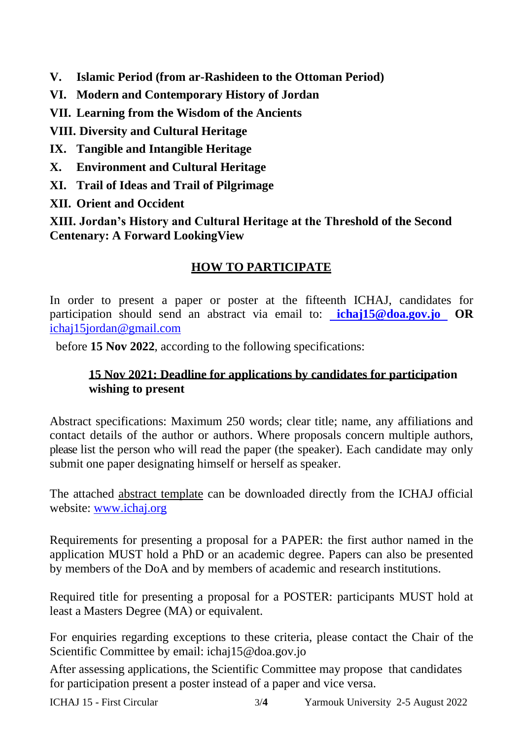- **V. Islamic Period (from ar-Rashideen to the Ottoman Period)**
- **VI. Modern and Contemporary History of Jordan**
- **VII. Learning from the Wisdom of the Ancients**

**VIII. Diversity and Cultural Heritage**

- **IX. Tangible and Intangible Heritage**
- **X. Environment and Cultural Heritage**
- **XI. Trail of Ideas and Trail of Pilgrimage**
- **XII. Orient and Occident**

**XIII. Jordan's History and Cultural Heritage at the Threshold of the Second Centenary: A Forward LookingView**

## **HOW TO PARTICIPATE**

In order to present a paper or poster at the fifteenth ICHAJ, candidates for participation should send an abstract via email to: **[ichaj15@doa.gov.jo](mailto:%20ichaj15@doa.gov.jo%20) OR** [ichaj15jordan@gmail.com](mailto:ichaj15jordan@gmail.com)

before **15 Nov 2022**, according to the following specifications:

### **15 Nov 2021: Deadline for applications by candidates for participation wishing to present**

Abstract specifications: Maximum 250 words; clear title; name, any affiliations and contact details of the author or authors. Where proposals concern multiple authors, please list the person who will read the paper (the speaker). Each candidate may only submit one paper designating himself or herself as speaker.

The attached abstract template can be downloaded directly from the ICHAJ official website: [www.ichaj.org](http://www.ichaj.org/)

Requirements for presenting a proposal for a PAPER: the first author named in the application MUST hold a PhD or an academic degree. Papers can also be presented by members of the DoA and by members of academic and research institutions.

Required title for presenting a proposal for a POSTER: participants MUST hold at least a Masters Degree (MA) or equivalent.

For enquiries regarding exceptions to these criteria, please contact the Chair of the Scientific Committee by email: ichaj15@doa.gov.jo

After assessing applications, the Scientific Committee may propose that candidates for participation present a poster instead of a paper and vice versa.